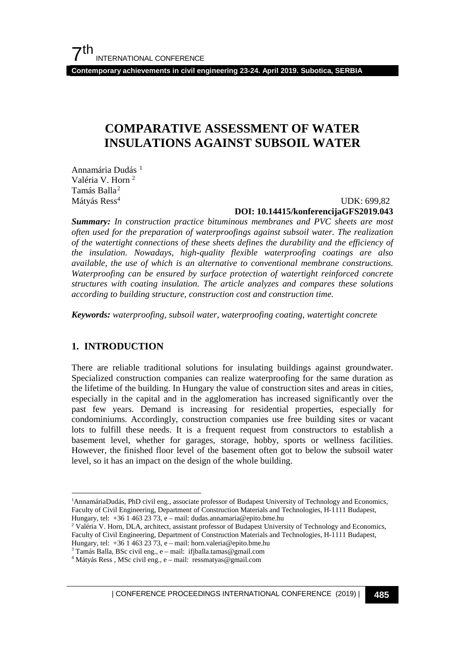**Contemporary achievements in civil engineering 23-24. April 2019. Subotica, SERBIA**

# **COMPARATIVE ASSESSMENT OF WATER INSULATIONS AGAINST SUBSOIL WATER**

Annamária Dudás<sup>[1](#page-0-0)</sup> Valéria V. Horn 2 Tamás Balla[2](#page-0-1) Mátyás Ress<sup>4</sup>

UDK: 699,82

### **DOI: 10.14415/konferencijaGFS2019.043**

*Summary: In construction practice bituminous membranes and PVC sheets are most often used for the preparation of waterproofings against subsoil water. The realization of the watertight connections of these sheets defines the durability and the efficiency of the insulation. Nowadays, high-quality flexible waterproofing coatings are also available, the use of which is an alternative to conventional membrane constructions. Waterproofing can be ensured by surface protection of watertight reinforced concrete structures with coating insulation. The article analyzes and compares these solutions according to building structure, construction cost and construction time.*

*Keywords: waterproofing, subsoil water, waterproofing coating, watertight concrete*

# **1. INTRODUCTION**

There are reliable traditional solutions for insulating buildings against groundwater. Specialized construction companies can realize waterproofing for the same duration as the lifetime of the building. In Hungary the value of construction sites and areas in cities, especially in the capital and in the agglomeration has increased significantly over the past few years. Demand is increasing for residential properties, especially for condominiums. Accordingly, construction companies use free building sites or vacant lots to fulfill these needs. It is a frequent request from constructors to establish a basement level, whether for garages, storage, hobby, sports or wellness facilities. However, the finished floor level of the basement often got to below the subsoil water level, so it has an impact on the design of the whole building.

| CONFERENCE PROCEEDINGS INTERNATIONAL CONFERENCE (2019) <sup>|</sup>**485**

<span id="page-0-0"></span> $\frac{1}{1}$ <sup>1</sup>AnnamáriaDudás, PhD civil eng., associate professor of Budapest University of Technology and Economics, Faculty of Civil Engineering, Department of Construction Materials and Technologies, H-1111 Budapest, Hungary, tel:  $+3614632373$ , e – mail: dudas.annamaria@epito.bme.hu

<sup>&</sup>lt;sup>2</sup> Valéria V. Horn, DLA, architect, assistant professor of Budapest University of Technology and Economics, Faculty of Civil Engineering, Department of Construction Materials and Technologies, H-1111 Budapest,

Hungary, tel: +36 1 463 23 73, e – mail: horn.valeria@epito.bme.hu  $3$  Tamás Balla, BSc civil eng., e – mail: ifjballa.tamas@gmail.com

<span id="page-0-1"></span><sup>4</sup> Mátyás Ress , MSc civil eng., e – mail: ressmatyas@gmail.com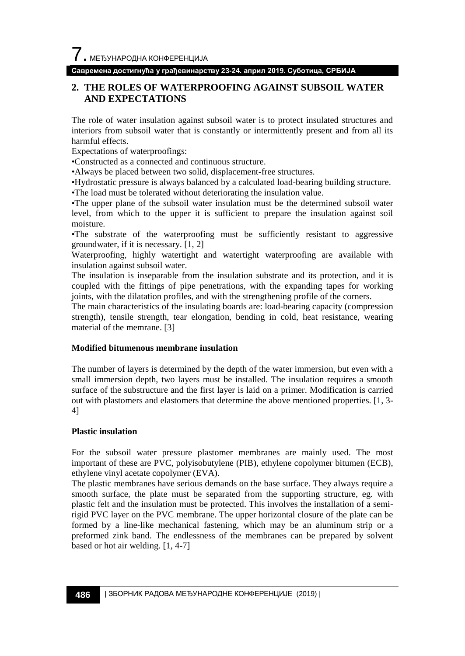# **Савремена достигнућа у грађевинарству 23-24. април 2019. Суботица, СРБИЈА**

# **2. THE ROLES OF WATERPROOFING AGAINST SUBSOIL WATER AND EXPECTATIONS**

The role of water insulation against subsoil water is to protect insulated structures and interiors from subsoil water that is constantly or intermittently present and from all its harmful effects.

Expectations of waterproofings:

•Constructed as a connected and continuous structure.

•Always be placed between two solid, displacement-free structures.

•Hydrostatic pressure is always balanced by a calculated load-bearing building structure.

•The load must be tolerated without deteriorating the insulation value.

•The upper plane of the subsoil water insulation must be the determined subsoil water level, from which to the upper it is sufficient to prepare the insulation against soil moisture.

•The substrate of the waterproofing must be sufficiently resistant to aggressive groundwater, if it is necessary. [1, 2]

Waterproofing, highly watertight and watertight waterproofing are available with insulation against subsoil water.

The insulation is inseparable from the insulation substrate and its protection, and it is coupled with the fittings of pipe penetrations, with the expanding tapes for working joints, with the dilatation profiles, and with the strengthening profile of the corners.

The main characteristics of the insulating boards are: load-bearing capacity (compression strength), tensile strength, tear elongation, bending in cold, heat resistance, wearing material of the memrane. [3]

#### **Modified bitumenous membrane insulation**

The number of layers is determined by the depth of the water immersion, but even with a small immersion depth, two layers must be installed. The insulation requires a smooth surface of the substructure and the first layer is laid on a primer. Modification is carried out with plastomers and elastomers that determine the above mentioned properties. [1, 3- 4]

#### **Plastic insulation**

For the subsoil water pressure plastomer membranes are mainly used. The most important of these are PVC, polyisobutylene (PIB), ethylene copolymer bitumen (ECB), ethylene vinyl acetate copolymer (EVA).

The plastic membranes have serious demands on the base surface. They always require a smooth surface, the plate must be separated from the supporting structure, eg. with plastic felt and the insulation must be protected. This involves the installation of a semirigid PVC layer on the PVC membrane. The upper horizontal closure of the plate can be formed by a line-like mechanical fastening, which may be an aluminum strip or a preformed zink band. The endlessness of the membranes can be prepared by solvent based or hot air welding. [1, 4-7]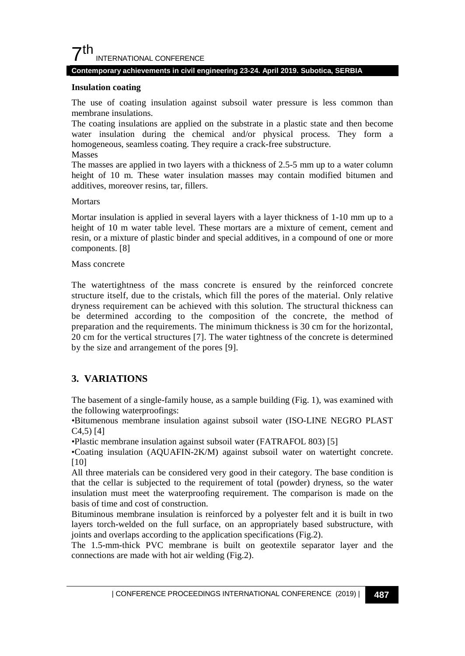

#### **Contemporary achievements in civil engineering 23-24. April 2019. Subotica, SERBIA**

#### **Insulation coating**

The use of coating insulation against subsoil water pressure is less common than membrane insulations.

The coating insulations are applied on the substrate in a plastic state and then become water insulation during the chemical and/or physical process. They form a homogeneous, seamless coating. They require a crack-free substructure.

#### Masses

The masses are applied in two layers with a thickness of 2.5-5 mm up to a water column height of 10 m. These water insulation masses may contain modified bitumen and additives, moreover resins, tar, fillers.

#### **Mortars**

Mortar insulation is applied in several layers with a layer thickness of 1-10 mm up to a height of 10 m water table level. These mortars are a mixture of cement, cement and resin, or a mixture of plastic binder and special additives, in a compound of one or more components. [8]

#### Mass concrete

The watertightness of the mass concrete is ensured by the reinforced concrete structure itself, due to the cristals, which fill the pores of the material. Only relative dryness requirement can be achieved with this solution. The structural thickness can be determined according to the composition of the concrete, the method of preparation and the requirements. The minimum thickness is 30 cm for the horizontal, 20 cm for the vertical structures [7]. The water tightness of the concrete is determined by the size and arrangement of the pores [9].

# **3. VARIATIONS**

The basement of a single-family house, as a sample building (Fig. 1), was examined with the following waterproofings:

•Bitumenous membrane insulation against subsoil water (ISO-LINE NEGRO PLAST  $C4,5)$  [4]

•Plastic membrane insulation against subsoil water (FATRAFOL 803) [5]

•Coating insulation (AQUAFIN-2K/M) against subsoil water on watertight concrete. [10]

All three materials can be considered very good in their category. The base condition is that the cellar is subjected to the requirement of total (powder) dryness, so the water insulation must meet the waterproofing requirement. The comparison is made on the basis of time and cost of construction.

Bituminous membrane insulation is reinforced by a polyester felt and it is built in two layers torch-welded on the full surface, on an appropriately based substructure, with joints and overlaps according to the application specifications (Fig.2).

The 1.5-mm-thick PVC membrane is built on geotextile separator layer and the connections are made with hot air welding (Fig.2).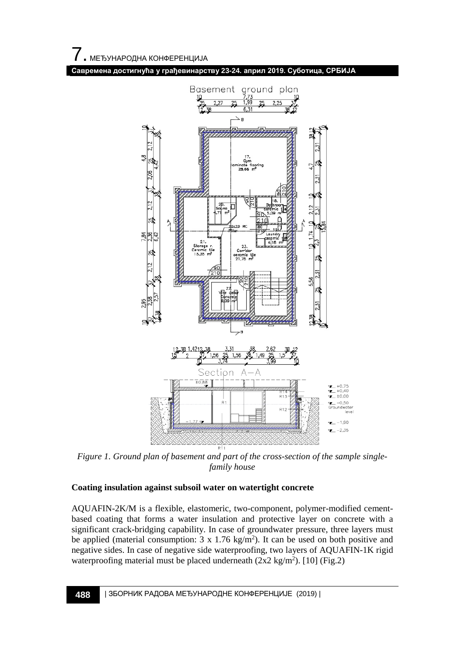**Савремена достигнућа у грађевинарству 23-24. април 2019. Суботица, СРБИЈА**



 *Figure 1. Ground plan of basement and part of the cross-section of the sample singlefamily house*

# **Coating insulation against subsoil water on watertight concrete**

AQUAFIN-2K/M is a flexible, elastomeric, two-component, polymer-modified cementbased coating that forms a water insulation and protective layer on concrete with a significant crack-bridging capability. In case of groundwater pressure, three layers must be applied (material consumption:  $3 \times 1.76 \text{ kg/m}^2$ ). It can be used on both positive and negative sides. In case of negative side waterproofing, two layers of AQUAFIN-1K rigid waterproofing material must be placed underneath  $(2x2 \text{ kg/m}^2)$ . [10] (Fig.2)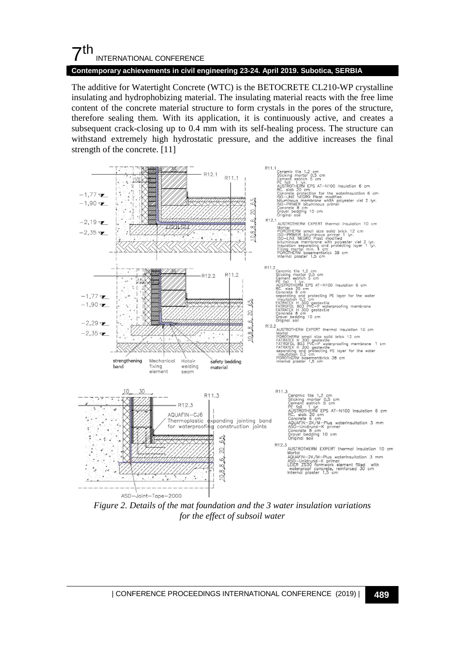# 7th INTERNATIONAL CONFERENCE

#### **Contemporary achievements in civil engineering 23-24. April 2019. Subotica, SERBIA**

The additive for Watertight Concrete (WTC) is the BETOCRETE CL210-WP crystalline insulating and hydrophobizing material. The insulating material reacts with the free lime content of the concrete material structure to form crystals in the pores of the structure, therefore sealing them. With its application, it is continuously active, and creates a subsequent crack-closing up to 0.4 mm with its self-healing process. The structure can withstand extremely high hydrostatic pressure, and the additive increases the final strength of the concrete. [11]



*Figure 2. Details of the mat foundation and the 3 water insulation variations for the effect of subsoil water*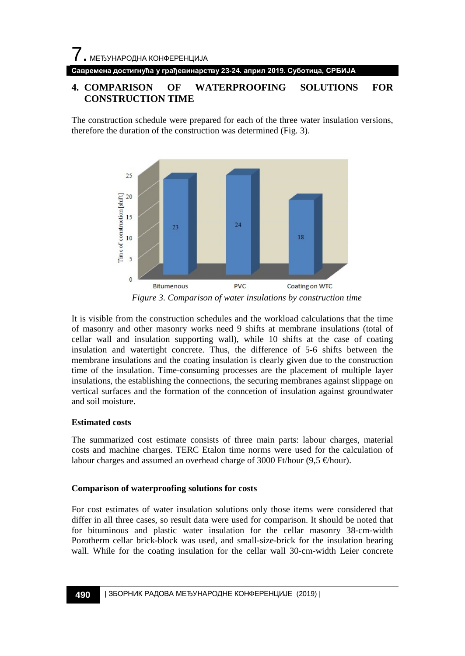**Савремена достигнућа у грађевинарству 23-24. април 2019. Суботица, СРБИЈА**

# **4. COMPARISON OF WATERPROOFING SOLUTIONS FOR CONSTRUCTION TIME**

The construction schedule were prepared for each of the three water insulation versions, therefore the duration of the construction was determined (Fig. 3).



*Figure 3. Comparison of water insulations by construction time*

It is visible from the construction schedules and the workload calculations that the time of masonry and other masonry works need 9 shifts at membrane insulations (total of cellar wall and insulation supporting wall), while 10 shifts at the case of coating insulation and watertight concrete. Thus, the difference of 5-6 shifts between the membrane insulations and the coating insulation is clearly given due to the construction time of the insulation. Time-consuming processes are the placement of multiple layer insulations, the establishing the connections, the securing membranes against slippage on vertical surfaces and the formation of the conncetion of insulation against groundwater and soil moisture.

# **Estimated costs**

The summarized cost estimate consists of three main parts: labour charges, material costs and machine charges. TERC Etalon time norms were used for the calculation of labour charges and assumed an overhead charge of 3000 Ft/hour (9,5  $\in$ hour).

# **Comparison of waterproofing solutions for costs**

For cost estimates of water insulation solutions only those items were considered that differ in all three cases, so result data were used for comparison. It should be noted that for bituminous and plastic water insulation for the cellar masonry 38-cm-width Porotherm cellar brick-block was used, and small-size-brick for the insulation bearing wall. While for the coating insulation for the cellar wall 30-cm-width Leier concrete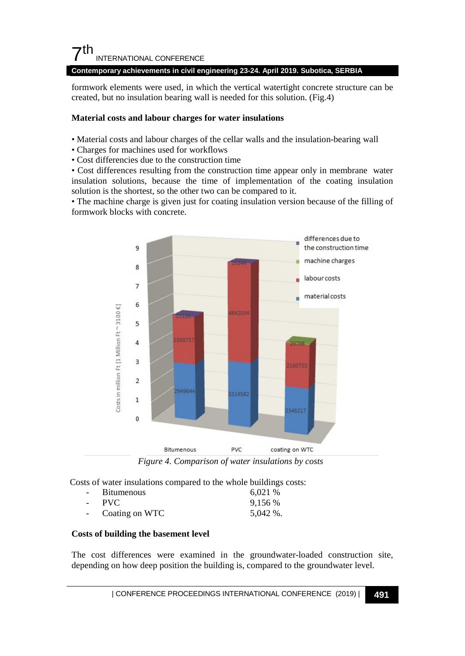# $\mathsf{\Sigma}^{\mathsf{th}}$ INTERNATIONAL CONFERENCE

#### **Contemporary achievements in civil engineering 23-24. April 2019. Subotica, SERBIA**

formwork elements were used, in which the vertical watertight concrete structure can be created, but no insulation bearing wall is needed for this solution. (Fig.4)

### **Material costs and labour charges for water insulations**

- Material costs and labour charges of the cellar walls and the insulation-bearing wall
- Charges for machines used for workflows
- Cost differencies due to the construction time

• Cost differences resulting from the construction time appear only in membrane water insulation solutions, because the time of implementation of the coating insulation solution is the shortest, so the other two can be compared to it.

• The machine charge is given just for coating insulation version because of the filling of formwork blocks with concrete.



*Figure 4. Comparison of water insulations by costs*

Costs of water insulations compared to the whole buildings costs:

| $\sim$ 10 $\pm$ | <b>Bitumenous</b> | 6,021 %     |
|-----------------|-------------------|-------------|
| $\sim 100$      | <b>PVC</b>        | 9,156 %     |
|                 | Coating on WTC    | $5,042\%$ . |

# **Costs of building the basement level**

The cost differences were examined in the groundwater-loaded construction site, depending on how deep position the building is, compared to the groundwater level.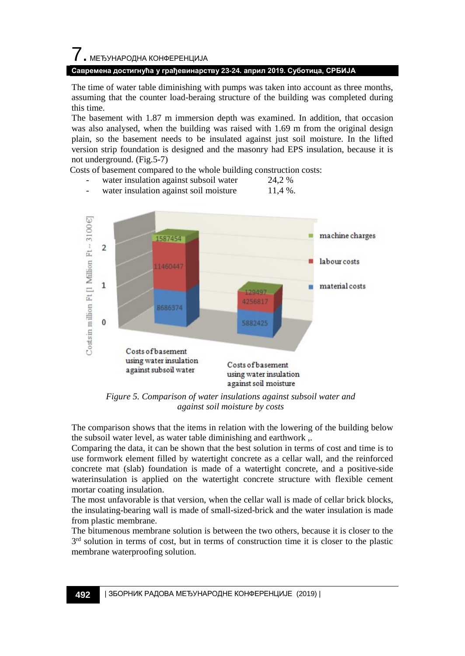# 7. МЕЂУНАРОДНА КОНФЕРЕНЦИЈА **Савремена достигнућа у грађевинарству 23-24. април 2019. Суботица, СРБИЈА**

The time of water table diminishing with pumps was taken into account as three months, assuming that the counter load-beraing structure of the building was completed during this time.

The basement with 1.87 m immersion depth was examined. In addition, that occasion was also analysed, when the building was raised with 1.69 m from the original design plain, so the basement needs to be insulated against just soil moisture. In the lifted version strip foundation is designed and the masonry had EPS insulation, because it is not underground. (Fig.5-7)

Costs of basement compared to the whole building construction costs: water insulation against subsoil water 24,2 %



water insulation against soil moisture 11,4 %.

*Figure 5. Comparison of water insulations against subsoil water and against soil moisture by costs*

The comparison shows that the items in relation with the lowering of the building below the subsoil water level, as water table diminishing and earthwork ,.

Comparing the data, it can be shown that the best solution in terms of cost and time is to use formwork element filled by watertight concrete as a cellar wall, and the reinforced concrete mat (slab) foundation is made of a watertight concrete, and a positive-side waterinsulation is applied on the watertight concrete structure with flexible cement mortar coating insulation.

The most unfavorable is that version, when the cellar wall is made of cellar brick blocks, the insulating-bearing wall is made of small-sized-brick and the water insulation is made from plastic membrane.

The bitumenous membrane solution is between the two others, because it is closer to the 3<sup>rd</sup> solution in terms of cost, but in terms of construction time it is closer to the plastic membrane waterproofing solution.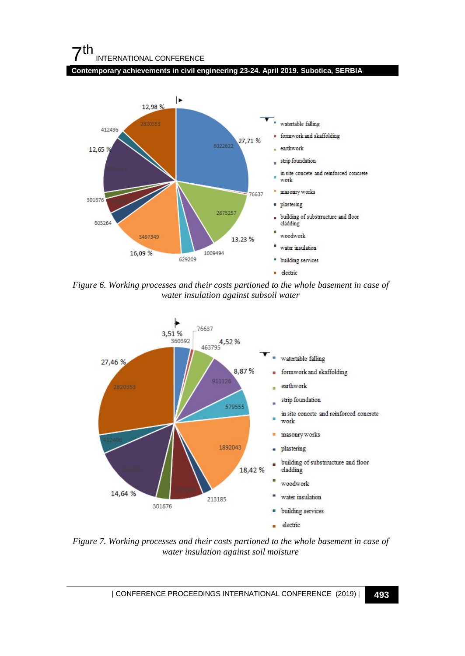# 7th INTERNATIONAL CONFERENCE





*Figure 6. Working processes and their costs partioned to the whole basement in case of water insulation against subsoil water*



*Figure 7. Working processes and their costs partioned to the whole basement in case of water insulation against soil moisture*